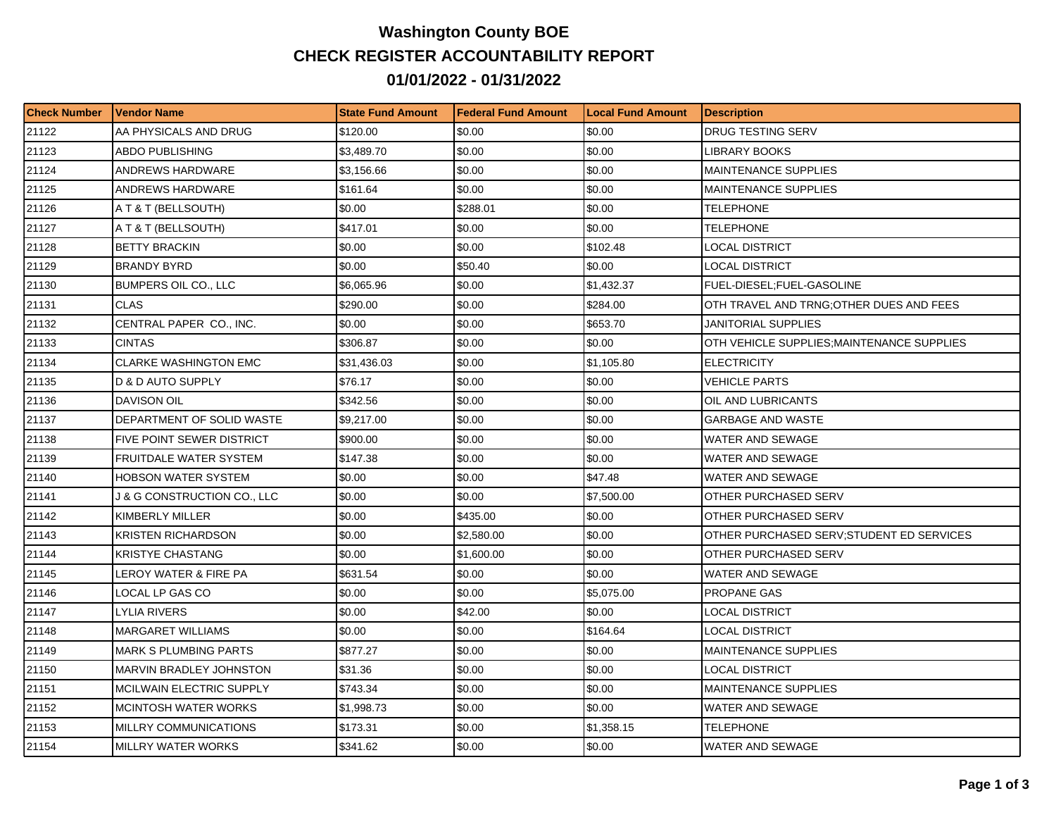## **Washington County BOE CHECK REGISTER ACCOUNTABILITY REPORT 01/01/2022 - 01/31/2022**

| <b>Check Number</b> | l Vendor Name                   | <b>State Fund Amount</b> | l Federal Fund Amount | <b>Local Fund Amount</b> | <b>Description</b>                         |
|---------------------|---------------------------------|--------------------------|-----------------------|--------------------------|--------------------------------------------|
| 21122               | AA PHYSICALS AND DRUG           | \$120.00                 | \$0.00                | \$0.00                   | <b>DRUG TESTING SERV</b>                   |
| 21123               | <b>ABDO PUBLISHING</b>          | \$3,489.70               | \$0.00                | \$0.00                   | <b>LIBRARY BOOKS</b>                       |
| 21124               | ANDREWS HARDWARE                | \$3,156.66               | \$0.00                | \$0.00                   | MAINTENANCE SUPPLIES                       |
| 21125               | ANDREWS HARDWARE                | \$161.64                 | \$0.00                | \$0.00                   | <b>MAINTENANCE SUPPLIES</b>                |
| 21126               | A T & T (BELLSOUTH)             | \$0.00                   | \$288.01              | \$0.00                   | TELEPHONE                                  |
| 21127               | A T & T (BELLSOUTH)             | \$417.01                 | \$0.00                | \$0.00                   | <b>TELEPHONE</b>                           |
| 21128               | <b>BETTY BRACKIN</b>            | \$0.00                   | \$0.00                | \$102.48                 | <b>LOCAL DISTRICT</b>                      |
| 21129               | IBRANDY BYRD                    | \$0.00                   | \$50.40               | \$0.00                   | LOCAL DISTRICT                             |
| 21130               | <b>BUMPERS OIL CO., LLC</b>     | \$6,065.96               | \$0.00                | \$1,432.37               | FUEL-DIESEL;FUEL-GASOLINE                  |
| 21131               | <b>CLAS</b>                     | \$290.00                 | \$0.00                | \$284.00                 | OTH TRAVEL AND TRNG OTHER DUES AND FEES    |
| 21132               | CENTRAL PAPER CO., INC.         | \$0.00                   | \$0.00                | \$653.70                 | JANITORIAL SUPPLIES                        |
| 21133               | <b>CINTAS</b>                   | \$306.87                 | \$0.00                | \$0.00                   | OTH VEHICLE SUPPLIES; MAINTENANCE SUPPLIES |
| 21134               | <b>CLARKE WASHINGTON EMC</b>    | \$31,436.03              | \$0.00                | \$1,105.80               | <b>ELECTRICITY</b>                         |
| 21135               | <b>D &amp; D AUTO SUPPLY</b>    | \$76.17                  | \$0.00                | \$0.00                   | <b>VEHICLE PARTS</b>                       |
| 21136               | DAVISON OIL                     | \$342.56                 | \$0.00                | \$0.00                   | OIL AND LUBRICANTS                         |
| 21137               | DEPARTMENT OF SOLID WASTE       | \$9,217.00               | \$0.00                | \$0.00                   | <b>GARBAGE AND WASTE</b>                   |
| 21138               | FIVE POINT SEWER DISTRICT       | \$900.00                 | \$0.00                | \$0.00                   | WATER AND SEWAGE                           |
| 21139               | FRUITDALE WATER SYSTEM          | \$147.38                 | \$0.00                | \$0.00                   | <b>WATER AND SEWAGE</b>                    |
| 21140               | <b>HOBSON WATER SYSTEM</b>      | \$0.00                   | \$0.00                | \$47.48                  | WATER AND SEWAGE                           |
| 21141               | J & G CONSTRUCTION CO., LLC     | \$0.00                   | \$0.00                | \$7,500.00               | OTHER PURCHASED SERV                       |
| 21142               | KIMBERLY MILLER                 | \$0.00                   | \$435.00              | \$0.00                   | OTHER PURCHASED SERV                       |
| 21143               | <b>KRISTEN RICHARDSON</b>       | \$0.00                   | \$2,580.00            | \$0.00                   | OTHER PURCHASED SERV; STUDENT ED SERVICES  |
| 21144               | <b>KRISTYE CHASTANG</b>         | \$0.00                   | \$1,600.00            | \$0.00                   | OTHER PURCHASED SERV                       |
| 21145               | LEROY WATER & FIRE PA           | \$631.54                 | \$0.00                | \$0.00                   | WATER AND SEWAGE                           |
| 21146               | LOCAL LP GAS CO                 | \$0.00                   | \$0.00                | \$5,075.00               | <b>PROPANE GAS</b>                         |
| 21147               | LYLIA RIVERS                    | \$0.00                   | \$42.00               | \$0.00                   | LOCAL DISTRICT                             |
| 21148               | <b>MARGARET WILLIAMS</b>        | \$0.00                   | \$0.00                | \$164.64                 | <b>LOCAL DISTRICT</b>                      |
| 21149               | MARK S PLUMBING PARTS           | \$877.27                 | \$0.00                | \$0.00                   | <b>MAINTENANCE SUPPLIES</b>                |
| 21150               | <b>MARVIN BRADLEY JOHNSTON</b>  | \$31.36                  | \$0.00                | \$0.00                   | <b>LOCAL DISTRICT</b>                      |
| 21151               | <b>MCILWAIN ELECTRIC SUPPLY</b> | \$743.34                 | \$0.00                | \$0.00                   | <b>MAINTENANCE SUPPLIES</b>                |
| 21152               | <b>MCINTOSH WATER WORKS</b>     | \$1,998.73               | \$0.00                | \$0.00                   | WATER AND SEWAGE                           |
| 21153               | MILLRY COMMUNICATIONS           | \$173.31                 | \$0.00                | \$1,358.15               | TELEPHONE                                  |
| 21154               | <b>MILLRY WATER WORKS</b>       | \$341.62                 | \$0.00                | \$0.00                   | WATER AND SEWAGE                           |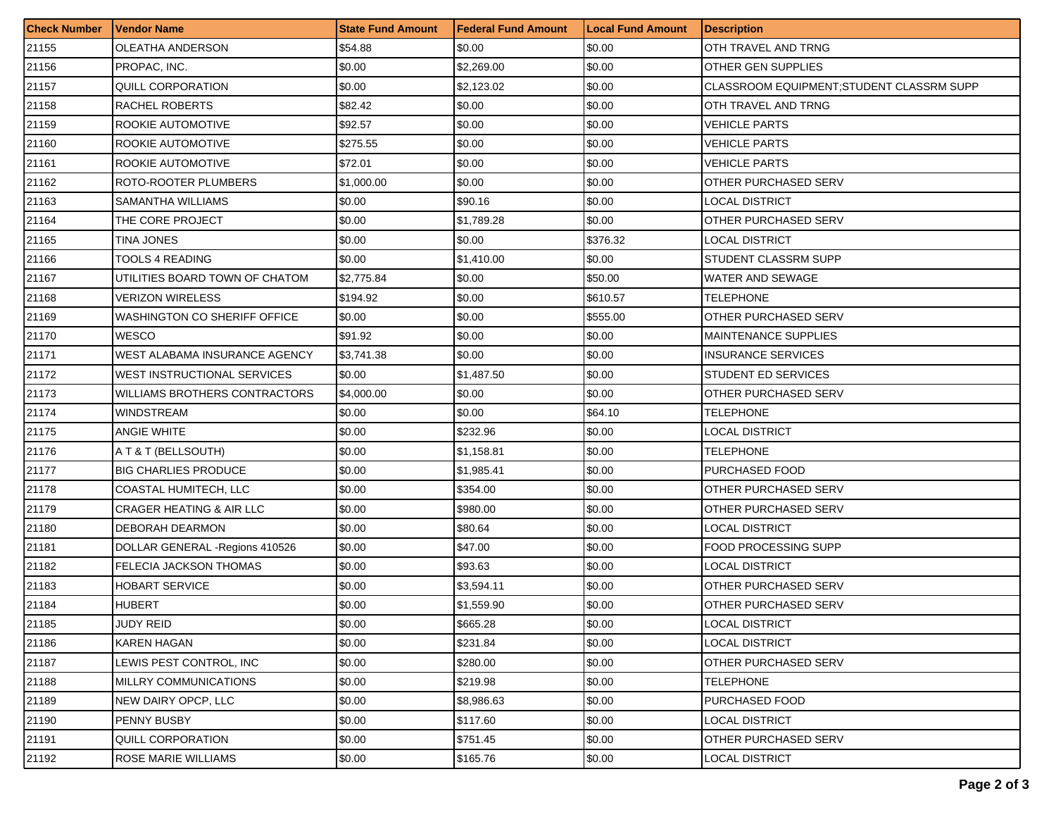| <b>Check Number</b> | Vendor Name                     | <b>State Fund Amount</b> | <b>Federal Fund Amount</b> | <b>Local Fund Amount</b> | <b>Description</b>                       |
|---------------------|---------------------------------|--------------------------|----------------------------|--------------------------|------------------------------------------|
| 21155               | OLEATHA ANDERSON                | \$54.88                  | \$0.00                     | \$0.00                   | OTH TRAVEL AND TRNG                      |
| 21156               | PROPAC, INC.                    | \$0.00                   | \$2,269.00                 | \$0.00                   | OTHER GEN SUPPLIES                       |
| 21157               | QUILL CORPORATION               | \$0.00                   | \$2,123.02                 | \$0.00                   | CLASSROOM EQUIPMENT:STUDENT CLASSRM SUPP |
| 21158               | RACHEL ROBERTS                  | \$82.42                  | \$0.00                     | \$0.00                   | OTH TRAVEL AND TRNG                      |
| 21159               | ROOKIE AUTOMOTIVE               | \$92.57                  | \$0.00                     | \$0.00                   | <b>VEHICLE PARTS</b>                     |
| 21160               | ROOKIE AUTOMOTIVE               | \$275.55                 | \$0.00                     | \$0.00                   | VEHICLE PARTS                            |
| 21161               | ROOKIE AUTOMOTIVE               | \$72.01                  | \$0.00                     | \$0.00                   | <b>VEHICLE PARTS</b>                     |
| 21162               | ROTO-ROOTER PLUMBERS            | \$1,000.00               | \$0.00                     | \$0.00                   | OTHER PURCHASED SERV                     |
| 21163               | SAMANTHA WILLIAMS               | \$0.00                   | \$90.16                    | \$0.00                   | LOCAL DISTRICT                           |
| 21164               | THE CORE PROJECT                | \$0.00                   | \$1,789.28                 | \$0.00                   | OTHER PURCHASED SERV                     |
| 21165               | TINA JONES                      | \$0.00                   | \$0.00                     | \$376.32                 | LOCAL DISTRICT                           |
| 21166               | <b>TOOLS 4 READING</b>          | \$0.00                   | \$1,410.00                 | \$0.00                   | STUDENT CLASSRM SUPP                     |
| 21167               | UTILITIES BOARD TOWN OF CHATOM  | \$2,775.84               | \$0.00                     | \$50.00                  | WATER AND SEWAGE                         |
| 21168               | VERIZON WIRELESS                | \$194.92                 | \$0.00                     | \$610.57                 | TELEPHONE                                |
| 21169               | WASHINGTON CO SHERIFF OFFICE    | \$0.00                   | \$0.00                     | \$555.00                 | OTHER PURCHASED SERV                     |
| 21170               | <b>WESCO</b>                    | \$91.92                  | \$0.00                     | \$0.00                   | <b>MAINTENANCE SUPPLIES</b>              |
| 21171               | WEST ALABAMA INSURANCE AGENCY   | \$3,741.38               | \$0.00                     | \$0.00                   | INSURANCE SERVICES                       |
| 21172               | WEST INSTRUCTIONAL SERVICES     | \$0.00                   | \$1,487.50                 | \$0.00                   | STUDENT ED SERVICES                      |
| 21173               | WILLIAMS BROTHERS CONTRACTORS   | \$4,000.00               | \$0.00                     | \$0.00                   | OTHER PURCHASED SERV                     |
| 21174               | WINDSTREAM                      | \$0.00                   | \$0.00                     | \$64.10                  | TELEPHONE                                |
| 21175               | <b>ANGIE WHITE</b>              | \$0.00                   | \$232.96                   | \$0.00                   | LOCAL DISTRICT                           |
| 21176               | A T & T (BELLSOUTH)             | \$0.00                   | \$1,158.81                 | \$0.00                   | TELEPHONE                                |
| 21177               | <b>BIG CHARLIES PRODUCE</b>     | \$0.00                   | \$1,985.41                 | \$0.00                   | PURCHASED FOOD                           |
| 21178               | COASTAL HUMITECH, LLC           | \$0.00                   | \$354.00                   | \$0.00                   | OTHER PURCHASED SERV                     |
| 21179               | CRAGER HEATING & AIR LLC        | \$0.00                   | \$980.00                   | \$0.00                   | OTHER PURCHASED SERV                     |
| 21180               | DEBORAH DEARMON                 | \$0.00                   | \$80.64                    | \$0.00                   | LOCAL DISTRICT                           |
| 21181               | DOLLAR GENERAL - Regions 410526 | \$0.00                   | \$47.00                    | \$0.00                   | FOOD PROCESSING SUPP                     |
| 21182               | FELECIA JACKSON THOMAS          | \$0.00                   | \$93.63                    | \$0.00                   | LOCAL DISTRICT                           |
| 21183               | HOBART SERVICE                  | \$0.00                   | \$3,594.11                 | \$0.00                   | OTHER PURCHASED SERV                     |
| 21184               | <b>HUBERT</b>                   | \$0.00                   | \$1,559.90                 | \$0.00                   | OTHER PURCHASED SERV                     |
| 21185               | <b>JUDY REID</b>                | \$0.00                   | \$665.28                   | \$0.00                   | LOCAL DISTRICT                           |
| 21186               | KAREN HAGAN                     | \$0.00                   | \$231.84                   | \$0.00                   | <b>LOCAL DISTRICT</b>                    |
| 21187               | LEWIS PEST CONTROL, INC         | \$0.00                   | \$280.00                   | \$0.00                   | OTHER PURCHASED SERV                     |
| 21188               | MILLRY COMMUNICATIONS           | \$0.00                   | \$219.98                   | \$0.00                   | TELEPHONE                                |
| 21189               | NEW DAIRY OPCP, LLC             | \$0.00                   | \$8,986.63                 | \$0.00                   | PURCHASED FOOD                           |
| 21190               | PENNY BUSBY                     | \$0.00                   | \$117.60                   | \$0.00                   | LOCAL DISTRICT                           |
| 21191               | <b>QUILL CORPORATION</b>        | \$0.00                   | \$751.45                   | \$0.00                   | OTHER PURCHASED SERV                     |
| 21192               | <b>ROSE MARIE WILLIAMS</b>      | \$0.00                   | \$165.76                   | \$0.00                   | <b>LOCAL DISTRICT</b>                    |